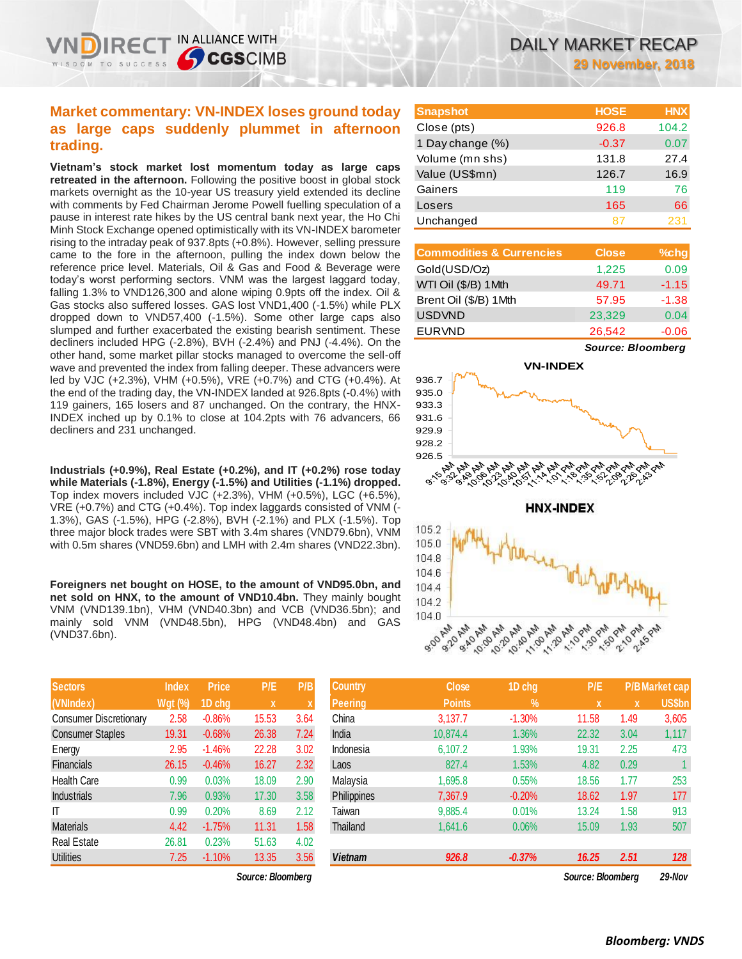IN ALLIANCE WITH

**CGSCIMB** 

**Vietnam's stock market lost momentum today as large caps retreated in the afternoon.** Following the positive boost in global stock markets overnight as the 10-year US treasury yield extended its decline with comments by Fed Chairman Jerome Powell fuelling speculation of a pause in interest rate hikes by the US central bank next year, the Ho Chi Minh Stock Exchange opened optimistically with its VN-INDEX barometer rising to the intraday peak of 937.8pts (+0.8%). However, selling pressure came to the fore in the afternoon, pulling the index down below the reference price level. Materials, Oil & Gas and Food & Beverage were today's worst performing sectors. VNM was the largest laggard today, falling 1.3% to VND126,300 and alone wiping 0.9pts off the index. Oil & Gas stocks also suffered losses. GAS lost VND1,400 (-1.5%) while PLX dropped down to VND57,400 (-1.5%). Some other large caps also slumped and further exacerbated the existing bearish sentiment. These decliners included HPG (-2.8%), BVH (-2.4%) and PNJ (-4.4%). On the other hand, some market pillar stocks managed to overcome the sell-off wave and prevented the index from falling deeper. These advancers were led by VJC (+2.3%), VHM (+0.5%), VRE (+0.7%) and CTG (+0.4%). At the end of the trading day, the VN-INDEX landed at 926.8pts (-0.4%) with 119 gainers, 165 losers and 87 unchanged. On the contrary, the HNX-INDEX inched up by 0.1% to close at 104.2pts with 76 advancers, 66 decliners and 231 unchanged.

**Industrials (+0.9%), Real Estate (+0.2%), and IT (+0.2%) rose today while Materials (-1.8%), Energy (-1.5%) and Utilities (-1.1%) dropped.**  Top index movers included VJC (+2.3%), VHM (+0.5%), LGC (+6.5%), VRE (+0.7%) and CTG (+0.4%). Top index laggards consisted of VNM (- 1.3%), GAS (-1.5%), HPG (-2.8%), BVH (-2.1%) and PLX (-1.5%). Top three major block trades were SBT with 3.4m shares (VND79.6bn), VNM with 0.5m shares (VND59.6bn) and LMH with 2.4m shares (VND22.3bn).

**Foreigners net bought on HOSE, to the amount of VND95.0bn, and net sold on HNX, to the amount of VND10.4bn.** They mainly bought VNM (VND139.1bn), VHM (VND40.3bn) and VCB (VND36.5bn); and mainly sold VNM (VND48.5bn), HPG (VND48.4bn) and GAS (VND37.6bn).

| <b>Sectors</b>                | <b>Index</b>   | Price    | P/E   | P/B  |
|-------------------------------|----------------|----------|-------|------|
| (VNIndex)                     | <b>Wgt (%)</b> | 1D chg   | X     | X    |
| <b>Consumer Discretionary</b> | 2.58           | $-0.86%$ | 15.53 | 3.64 |
| <b>Consumer Staples</b>       | 19.31          | $-0.68%$ | 26.38 | 7.24 |
| Energy                        | 2.95           | $-1.46%$ | 22.28 | 3.02 |
| Financials                    | 26.15          | $-0.46%$ | 16.27 | 2.32 |
| <b>Health Care</b>            | 0.99           | 0.03%    | 18.09 | 2.90 |
| <b>Industrials</b>            | 7.96           | 0.93%    | 17.30 | 3.58 |
| ıτ                            | 0.99           | 0.20%    | 8.69  | 2.12 |
| <b>Materials</b>              | 4.42           | $-1.75%$ | 11.31 | 1.58 |
| <b>Real Estate</b>            | 26.81          | 0.23%    | 51.63 | 4.02 |
| <b>Utilities</b>              | 7.25           | $-1.10%$ | 13.35 | 3.56 |

 $Source: Bloomberg$ 

| <b>Snapshot</b>  | <b>HOSE</b> | <b>HNX</b> |
|------------------|-------------|------------|
| Close (pts)      | 926.8       | 104.2      |
| 1 Day change (%) | $-0.37$     | 0.07       |
| Volume (mn shs)  | 131.8       | 27.4       |
| Value (US\$mn)   | 126.7       | 16.9       |
| Gainers          | 119         | 76         |
| Losers           | 165         | 66         |
| Unchanged        |             | 231        |

| <b>Commodities &amp; Currencies</b> | <b>Close</b> | $%$ chg |
|-------------------------------------|--------------|---------|
| Gold(USD/Oz)                        | 1,225        | 0.09    |
| WTI Oil (\$/B) 1Mth                 | 49.71        | $-1.15$ |
| Brent Oil (\$/B) 1Mth               | 57.95        | $-1.38$ |
| <b>USDVND</b>                       | 23,329       | 0.04    |
| <b>EURVND</b>                       | 26,542       | $-0.06$ |

*Source: Bloomberg*



| <b>Sectors</b>                | <b>Index</b>   | <b>Price</b> | P/E               | P/B  | <b>Country</b>     | <b>Close</b>  | 1D chg        | P/E               |             | <b>P/B Market cap</b> |
|-------------------------------|----------------|--------------|-------------------|------|--------------------|---------------|---------------|-------------------|-------------|-----------------------|
| (VNIndex)                     | <b>Wgt</b> (%) | 1D chg       | $\mathbf x$       |      | <b>Peering</b>     | <b>Points</b> | $\frac{9}{6}$ | X                 | $\mathbf x$ | <b>US\$bn</b>         |
| <b>Consumer Discretionary</b> | 2.58           | $-0.86%$     | 15.53             | 3.64 | China              | 3.137.7       | $-1.30%$      | 11.58             | 1.49        | 3,605                 |
| <b>Consumer Staples</b>       | 19.31          | $-0.68%$     | 26.38             | 7.24 | India              | 10.874.4      | 1.36%         | 22.32             | 3.04        | 1,117                 |
| Energy                        | 2.95           | $-1.46%$     | 22.28             | 3.02 | Indonesia          | 6,107.2       | 1.93%         | 19.31             | 2.25        | 473                   |
| Financials                    | 26.15          | $-0.46%$     | 16.27             | 2.32 | Laos               | 827.4         | 1.53%         | 4.82              | 0.29        |                       |
| Health Care                   | 0.99           | 0.03%        | 18.09             | 2.90 | Malaysia           | 1,695.8       | 0.55%         | 18.56             | 1.77        | 253                   |
| <b>Industrials</b>            | 7.96           | 0.93%        | 17.30             | 3.58 | <b>Philippines</b> | 7,367.9       | $-0.20%$      | 18.62             | 1.97        | 177                   |
| ΙT                            | 0.99           | 0.20%        | 8.69              | 2.12 | Taiwan             | 9,885.4       | 0.01%         | 13.24             | 1.58        | 913                   |
| Materials                     | 4.42           | $-1.75%$     | 11.31             | 1.58 | Thailand           | 1,641.6       | 0.06%         | 15.09             | 1.93        | 507                   |
| Real Estate                   | 26.81          | 0.23%        | 51.63             | 4.02 |                    |               |               |                   |             |                       |
| <b>Utilities</b>              | 7.25           | $-1.10%$     | 13.35             | 3.56 | <b>Vietnam</b>     | 926.8         | $-0.37%$      | 16.25             | 2.51        | 128                   |
|                               |                |              | Source: Bloomberg |      |                    |               |               | Source: Bloombera |             | 29-Nov                |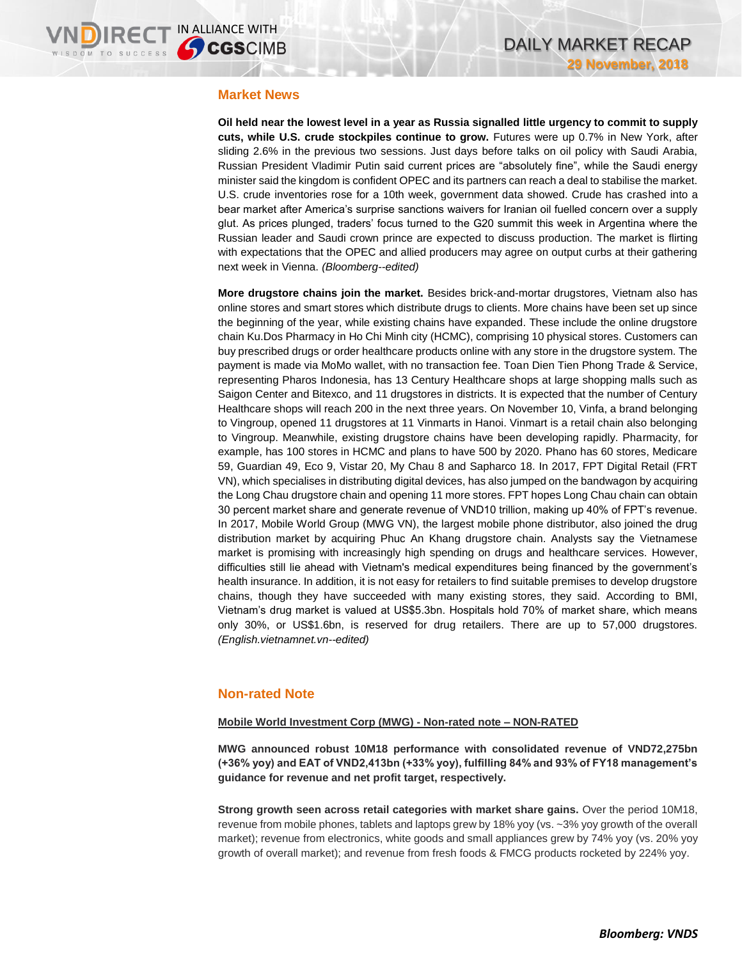### **Market News**

**Oil held near the lowest level in a year as Russia signalled little urgency to commit to supply cuts, while U.S. crude stockpiles continue to grow.** Futures were up 0.7% in New York, after sliding 2.6% in the previous two sessions. Just days before talks on oil policy with Saudi Arabia, Russian President Vladimir Putin said current prices are "absolutely fine", while the Saudi energy minister said the kingdom is confident OPEC and its partners can reach a deal to stabilise the market. U.S. crude inventories rose for a 10th week, government data showed. Crude has crashed into a bear market after America's surprise sanctions waivers for Iranian oil fuelled concern over a supply glut. As prices plunged, traders' focus turned to the G20 summit this week in Argentina where the Russian leader and Saudi crown prince are expected to discuss production. The market is flirting with expectations that the OPEC and allied producers may agree on output curbs at their gathering next week in Vienna. *(Bloomberg--edited)*

**More drugstore chains join the market.** Besides brick-and-mortar drugstores, Vietnam also has online stores and smart stores which distribute drugs to clients. More chains have been set up since the beginning of the year, while existing chains have expanded. These include the online drugstore chain Ku.Dos Pharmacy in Ho Chi Minh city (HCMC), comprising 10 physical stores. Customers can buy prescribed drugs or order healthcare products online with any store in the drugstore system. The payment is made via MoMo wallet, with no transaction fee. Toan Dien Tien Phong Trade & Service, representing Pharos Indonesia, has 13 Century Healthcare shops at large shopping malls such as Saigon Center and Bitexco, and 11 drugstores in districts. It is expected that the number of Century Healthcare shops will reach 200 in the next three years. On November 10, Vinfa, a brand belonging to Vingroup, opened 11 drugstores at 11 Vinmarts in Hanoi. Vinmart is a retail chain also belonging to Vingroup. Meanwhile, existing drugstore chains have been developing rapidly. Pharmacity, for example, has 100 stores in HCMC and plans to have 500 by 2020. Phano has 60 stores, Medicare 59, Guardian 49, Eco 9, Vistar 20, My Chau 8 and Sapharco 18. In 2017, FPT Digital Retail (FRT VN), which specialises in distributing digital devices, has also jumped on the bandwagon by acquiring the Long Chau drugstore chain and opening 11 more stores. FPT hopes Long Chau chain can obtain 30 percent market share and generate revenue of VND10 trillion, making up 40% of FPT's revenue. In 2017, Mobile World Group (MWG VN), the largest mobile phone distributor, also joined the drug distribution market by acquiring Phuc An Khang drugstore chain. Analysts say the Vietnamese market is promising with increasingly high spending on drugs and healthcare services. However, difficulties still lie ahead with Vietnam's medical expenditures being financed by the government's health insurance. In addition, it is not easy for retailers to find suitable premises to develop drugstore chains, though they have succeeded with many existing stores, they said. According to BMI, Vietnam's drug market is valued at US\$5.3bn. Hospitals hold 70% of market share, which means only 30%, or US\$1.6bn, is reserved for drug retailers. There are up to 57,000 drugstores. *(English.vietnamnet.vn--edited)*

## **Non-rated Note**

### **Mobile World Investment Corp (MWG) - Non-rated note – NON-RATED**

**MWG announced robust 10M18 performance with consolidated revenue of VND72,275bn (+36% yoy) and EAT of VND2,413bn (+33% yoy), fulfilling 84% and 93% of FY18 management's guidance for revenue and net profit target, respectively.** 

**Strong growth seen across retail categories with market share gains.** Over the period 10M18, revenue from mobile phones, tablets and laptops grew by 18% yoy (vs. ~3% yoy growth of the overall market); revenue from electronics, white goods and small appliances grew by 74% yoy (vs. 20% yoy growth of overall market); and revenue from fresh foods & FMCG products rocketed by 224% yoy.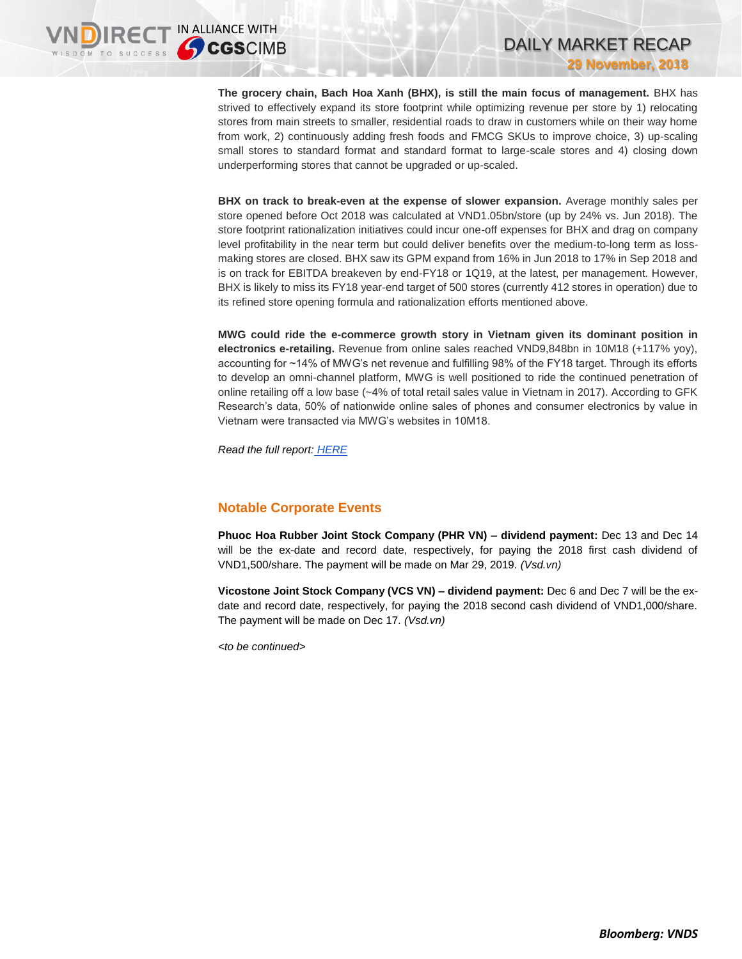**The grocery chain, Bach Hoa Xanh (BHX), is still the main focus of management.** BHX has strived to effectively expand its store footprint while optimizing revenue per store by 1) relocating stores from main streets to smaller, residential roads to draw in customers while on their way home from work, 2) continuously adding fresh foods and FMCG SKUs to improve choice, 3) up-scaling small stores to standard format and standard format to large-scale stores and 4) closing down underperforming stores that cannot be upgraded or up-scaled.

DAILY MARKET RECAP

**29 November, 2018**

**BHX on track to break-even at the expense of slower expansion.** Average monthly sales per store opened before Oct 2018 was calculated at VND1.05bn/store (up by 24% vs. Jun 2018). The store footprint rationalization initiatives could incur one-off expenses for BHX and drag on company level profitability in the near term but could deliver benefits over the medium-to-long term as lossmaking stores are closed. BHX saw its GPM expand from 16% in Jun 2018 to 17% in Sep 2018 and is on track for EBITDA breakeven by end-FY18 or 1Q19, at the latest, per management. However, BHX is likely to miss its FY18 year-end target of 500 stores (currently 412 stores in operation) due to its refined store opening formula and rationalization efforts mentioned above.

**MWG could ride the e-commerce growth story in Vietnam given its dominant position in electronics e-retailing.** Revenue from online sales reached VND9,848bn in 10M18 (+117% yoy), accounting for ~14% of MWG's net revenue and fulfilling 98% of the FY18 target. Through its efforts to develop an omni-channel platform, MWG is well positioned to ride the continued penetration of online retailing off a low base (~4% of total retail sales value in Vietnam in 2017). According to GFK Research's data, 50% of nationwide online sales of phones and consumer electronics by value in Vietnam were transacted via MWG's websites in 10M18.

*Read the full report: [HERE](https://static-02.vndirect.com.vn/uploads/prod/MWG_NRNote_20181129.pdf)*

## **Notable Corporate Events**

**Phuoc Hoa Rubber Joint Stock Company (PHR VN) – dividend payment:** Dec 13 and Dec 14 will be the ex-date and record date, respectively, for paying the 2018 first cash dividend of VND1,500/share. The payment will be made on Mar 29, 2019. *(Vsd.vn)*

**Vicostone Joint Stock Company (VCS VN) – dividend payment:** Dec 6 and Dec 7 will be the exdate and record date, respectively, for paying the 2018 second cash dividend of VND1,000/share. The payment will be made on Dec 17. *(Vsd.vn)*

*<to be continued>*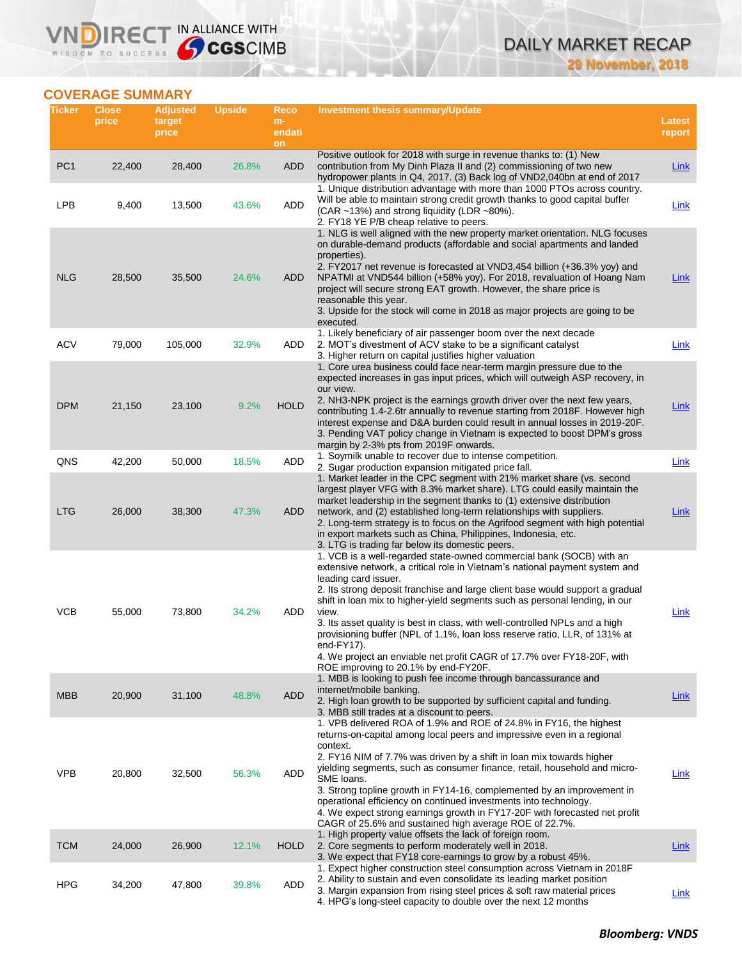## DAILY MARKET RECAP **29 November, 2018**

## **COVERAGE SUMMARY**

WISDOM TO SUCCESS

**VNDIRECT IN ALLIANCE WITH** 

| Ticker          | <b>Close</b><br>price | <b>Adjusted</b><br>target<br>price | <b>Upside</b> | Reco<br>$m-$<br>endati<br>on | Investment thesis summary/Update                                                                                                                                                                                                                                                                                                                                                                                                                                                                                                                                                                                                                  | Latest<br>report |
|-----------------|-----------------------|------------------------------------|---------------|------------------------------|---------------------------------------------------------------------------------------------------------------------------------------------------------------------------------------------------------------------------------------------------------------------------------------------------------------------------------------------------------------------------------------------------------------------------------------------------------------------------------------------------------------------------------------------------------------------------------------------------------------------------------------------------|------------------|
| PC <sub>1</sub> | 22,400                | 28,400                             | 26.8%         | <b>ADD</b>                   | Positive outlook for 2018 with surge in revenue thanks to: (1) New<br>contribution from My Dinh Plaza II and (2) commissioning of two new<br>hydropower plants in Q4, 2017. (3) Back log of VND2,040bn at end of 2017                                                                                                                                                                                                                                                                                                                                                                                                                             | Link             |
| <b>LPB</b>      | 9,400                 | 13,500                             | 43.6%         | ADD                          | 1. Unique distribution advantage with more than 1000 PTOs across country.<br>Will be able to maintain strong credit growth thanks to good capital buffer<br>(CAR ~13%) and strong liquidity (LDR ~80%).<br>2. FY18 YE P/B cheap relative to peers.                                                                                                                                                                                                                                                                                                                                                                                                | <b>Link</b>      |
| <b>NLG</b>      | 28,500                | 35,500                             | 24.6%         | ADD                          | 1. NLG is well aligned with the new property market orientation. NLG focuses<br>on durable-demand products (affordable and social apartments and landed<br>properties).<br>2. FY2017 net revenue is forecasted at VND3,454 billion (+36.3% yoy) and<br>NPATMI at VND544 billion (+58% yoy). For 2018, revaluation of Hoang Nam<br>project will secure strong EAT growth. However, the share price is<br>reasonable this year.<br>3. Upside for the stock will come in 2018 as major projects are going to be<br>executed.                                                                                                                         | <b>Link</b>      |
| <b>ACV</b>      | 79,000                | 105,000                            | 32.9%         | ADD                          | 1. Likely beneficiary of air passenger boom over the next decade<br>2. MOT's divestment of ACV stake to be a significant catalyst<br>3. Higher return on capital justifies higher valuation                                                                                                                                                                                                                                                                                                                                                                                                                                                       | Link             |
| <b>DPM</b>      | 21,150                | 23,100                             | 9.2%          | <b>HOLD</b>                  | 1. Core urea business could face near-term margin pressure due to the<br>expected increases in gas input prices, which will outweigh ASP recovery, in<br>our view.<br>2. NH3-NPK project is the earnings growth driver over the next few years,<br>contributing 1.4-2.6tr annually to revenue starting from 2018F. However high<br>interest expense and D&A burden could result in annual losses in 2019-20F.<br>3. Pending VAT policy change in Vietnam is expected to boost DPM's gross<br>margin by 2-3% pts from 2019F onwards.                                                                                                               | <b>Link</b>      |
| QNS             | 42,200                | 50,000                             | 18.5%         | <b>ADD</b>                   | 1. Soymilk unable to recover due to intense competition.<br>2. Sugar production expansion mitigated price fall.<br>1. Market leader in the CPC segment with 21% market share (vs. second                                                                                                                                                                                                                                                                                                                                                                                                                                                          | Link             |
| <b>LTG</b>      | 26,000                | 38,300                             | 47.3%         | <b>ADD</b>                   | largest player VFG with 8.3% market share). LTG could easily maintain the<br>market leadership in the segment thanks to (1) extensive distribution<br>network, and (2) established long-term relationships with suppliers.<br>2. Long-term strategy is to focus on the Agrifood segment with high potential<br>in export markets such as China, Philippines, Indonesia, etc.<br>3. LTG is trading far below its domestic peers.                                                                                                                                                                                                                   | Link             |
| VCB             | 55,000                | 73,800                             | 34.2%         | ADD                          | 1. VCB is a well-regarded state-owned commercial bank (SOCB) with an<br>extensive network, a critical role in Vietnam's national payment system and<br>leading card issuer.<br>2. Its strong deposit franchise and large client base would support a gradual<br>shift in loan mix to higher-yield segments such as personal lending, in our<br>view.<br>3. Its asset quality is best in class, with well-controlled NPLs and a high<br>provisioning buffer (NPL of 1.1%, loan loss reserve ratio, LLR, of 131% at<br>end-FY17).<br>4. We project an enviable net profit CAGR of 17.7% over FY18-20F, with<br>ROE improving to 20.1% by end-FY20F. | Link             |
| <b>MBB</b>      | 20,900                | 31,100                             | 48.8%         | <b>ADD</b>                   | 1. MBB is looking to push fee income through bancassurance and<br>internet/mobile banking.<br>2. High loan growth to be supported by sufficient capital and funding.<br>3. MBB still trades at a discount to peers.                                                                                                                                                                                                                                                                                                                                                                                                                               | <b>Link</b>      |
| <b>VPB</b>      | 20,800                | 32,500                             | 56.3%         | <b>ADD</b>                   | 1. VPB delivered ROA of 1.9% and ROE of 24.8% in FY16, the highest<br>returns-on-capital among local peers and impressive even in a regional<br>context.<br>2. FY16 NIM of 7.7% was driven by a shift in loan mix towards higher<br>yielding segments, such as consumer finance, retail, household and micro-<br>SME loans.<br>3. Strong topline growth in FY14-16, complemented by an improvement in<br>operational efficiency on continued investments into technology.<br>4. We expect strong earnings growth in FY17-20F with forecasted net profit<br>CAGR of 25.6% and sustained high average ROE of 22.7%.                                 | Link             |
| <b>TCM</b>      | 24,000                | 26,900                             | 12.1%         | <b>HOLD</b>                  | 1. High property value offsets the lack of foreign room.<br>2. Core segments to perform moderately well in 2018.<br>3. We expect that FY18 core-earnings to grow by a robust 45%.                                                                                                                                                                                                                                                                                                                                                                                                                                                                 | <b>Link</b>      |
| <b>HPG</b>      | 34,200                | 47,800                             | 39.8%         | ADD                          | 1. Expect higher construction steel consumption across Vietnam in 2018F<br>2. Ability to sustain and even consolidate its leading market position<br>3. Margin expansion from rising steel prices & soft raw material prices<br>4. HPG's long-steel capacity to double over the next 12 months                                                                                                                                                                                                                                                                                                                                                    | <b>Link</b>      |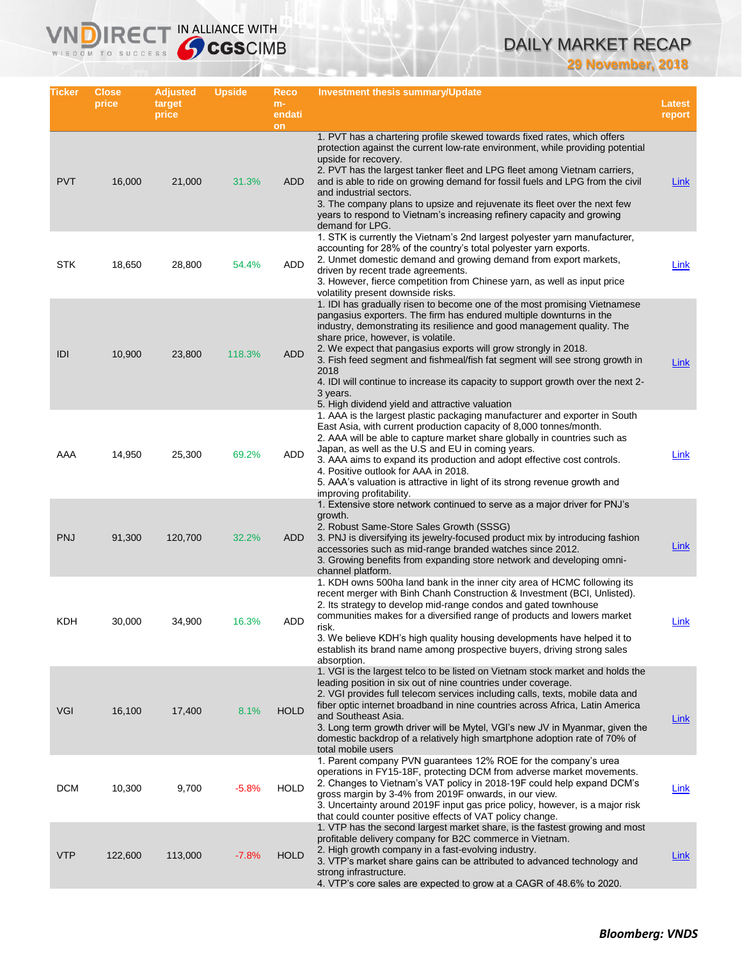# DAILY MARKET RECAP

**29 November, 2018**

| Ticker     | <b>Close</b><br>price | Adjusted<br>target<br>price | <b>Upside</b> | Reco<br>$m-$<br>endati | <b>Investment thesis summary/Update</b>                                                                                                                                                                                                                                                                                                                                                                                                                                                                                                                                         | <b>Latest</b><br>report |
|------------|-----------------------|-----------------------------|---------------|------------------------|---------------------------------------------------------------------------------------------------------------------------------------------------------------------------------------------------------------------------------------------------------------------------------------------------------------------------------------------------------------------------------------------------------------------------------------------------------------------------------------------------------------------------------------------------------------------------------|-------------------------|
|            |                       |                             |               | on                     |                                                                                                                                                                                                                                                                                                                                                                                                                                                                                                                                                                                 |                         |
| <b>PVT</b> | 16,000                | 21,000                      | 31.3%         | ADD                    | 1. PVT has a chartering profile skewed towards fixed rates, which offers<br>protection against the current low-rate environment, while providing potential<br>upside for recovery.<br>2. PVT has the largest tanker fleet and LPG fleet among Vietnam carriers,<br>and is able to ride on growing demand for fossil fuels and LPG from the civil<br>and industrial sectors.<br>3. The company plans to upsize and rejuvenate its fleet over the next few<br>years to respond to Vietnam's increasing refinery capacity and growing<br>demand for LPG.                           | <b>Link</b>             |
| STK        | 18,650                | 28,800                      | 54.4%         | ADD                    | 1. STK is currently the Vietnam's 2nd largest polyester yarn manufacturer,<br>accounting for 28% of the country's total polyester yarn exports.<br>2. Unmet domestic demand and growing demand from export markets,<br>driven by recent trade agreements.<br>3. However, fierce competition from Chinese yarn, as well as input price<br>volatility present downside risks.                                                                                                                                                                                                     | Link                    |
| IDI        | 10,900                | 23,800                      | 118.3%        | <b>ADD</b>             | 1. IDI has gradually risen to become one of the most promising Vietnamese<br>pangasius exporters. The firm has endured multiple downturns in the<br>industry, demonstrating its resilience and good management quality. The<br>share price, however, is volatile.<br>2. We expect that pangasius exports will grow strongly in 2018.<br>3. Fish feed segment and fishmeal/fish fat segment will see strong growth in<br>2018<br>4. IDI will continue to increase its capacity to support growth over the next 2-<br>3 years.<br>5. High dividend yield and attractive valuation | <b>Link</b>             |
| AAA        | 14,950                | 25,300                      | 69.2%         | ADD                    | 1. AAA is the largest plastic packaging manufacturer and exporter in South<br>East Asia, with current production capacity of 8,000 tonnes/month.<br>2. AAA will be able to capture market share globally in countries such as<br>Japan, as well as the U.S and EU in coming years.<br>3. AAA aims to expand its production and adopt effective cost controls.<br>4. Positive outlook for AAA in 2018.<br>5. AAA's valuation is attractive in light of its strong revenue growth and<br>improving profitability.                                                                 | Link                    |
| <b>PNJ</b> | 91,300                | 120,700                     | 32.2%         | ADD                    | 1. Extensive store network continued to serve as a major driver for PNJ's<br>growth.<br>2. Robust Same-Store Sales Growth (SSSG)<br>3. PNJ is diversifying its jewelry-focused product mix by introducing fashion<br>accessories such as mid-range branded watches since 2012.<br>3. Growing benefits from expanding store network and developing omni-<br>channel platform.                                                                                                                                                                                                    | Link                    |
| KDH        | 30,000                | 34,900                      | 16.3%         | ADD                    | 1. KDH owns 500ha land bank in the inner city area of HCMC following its<br>recent merger with Binh Chanh Construction & Investment (BCI, Unlisted).<br>2. Its strategy to develop mid-range condos and gated townhouse<br>communities makes for a diversified range of products and lowers market<br>risk.<br>3. We believe KDH's high quality housing developments have helped it to<br>establish its brand name among prospective buyers, driving strong sales<br>absorption.                                                                                                | Link                    |
| <b>VGI</b> | 16,100                | 17,400                      | 8.1%          | <b>HOLD</b>            | 1. VGI is the largest telco to be listed on Vietnam stock market and holds the<br>leading position in six out of nine countries under coverage.<br>2. VGI provides full telecom services including calls, texts, mobile data and<br>fiber optic internet broadband in nine countries across Africa, Latin America<br>and Southeast Asia.<br>3. Long term growth driver will be Mytel, VGI's new JV in Myanmar, given the<br>domestic backdrop of a relatively high smartphone adoption rate of 70% of<br>total mobile users                                                     | <b>Link</b>             |
| <b>DCM</b> | 10,300                | 9,700                       | $-5.8%$       | <b>HOLD</b>            | 1. Parent company PVN guarantees 12% ROE for the company's urea<br>operations in FY15-18F, protecting DCM from adverse market movements.<br>2. Changes to Vietnam's VAT policy in 2018-19F could help expand DCM's<br>gross margin by 3-4% from 2019F onwards, in our view.<br>3. Uncertainty around 2019F input gas price policy, however, is a major risk<br>that could counter positive effects of VAT policy change.                                                                                                                                                        | <b>Link</b>             |
| <b>VTP</b> | 122,600               | 113,000                     | $-7.8%$       | <b>HOLD</b>            | 1. VTP has the second largest market share, is the fastest growing and most<br>profitable delivery company for B2C commerce in Vietnam.<br>2. High growth company in a fast-evolving industry.<br>3. VTP's market share gains can be attributed to advanced technology and<br>strong infrastructure.<br>4. VTP's core sales are expected to grow at a CAGR of 48.6% to 2020.                                                                                                                                                                                                    | Link                    |

IRECT IN ALLIANCE WITH

VND

WISDOM TO SUCCESS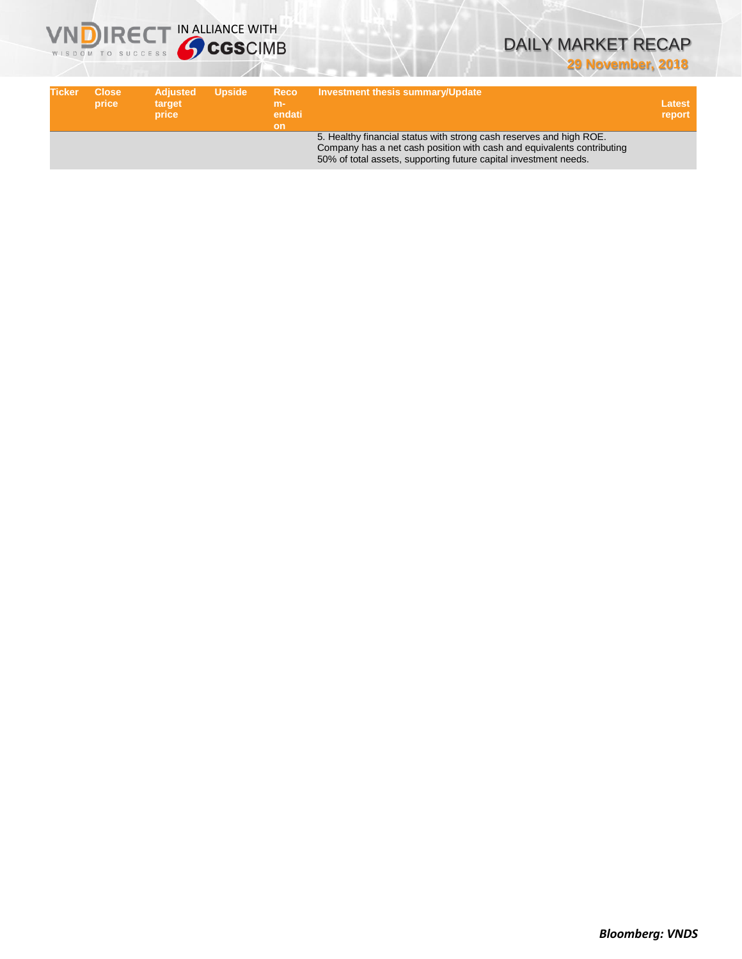

## DAILY MARKET RECAP **29 November, 2018**

| Ticker | <b>Close</b><br>price | <b>Adjusted</b><br>target<br>price | <b>Upside</b> | <b>Reco</b><br>$m-$<br>endati<br>on | Investment thesis summary/Update                                                                                                                                                                                  | Latest<br>report |
|--------|-----------------------|------------------------------------|---------------|-------------------------------------|-------------------------------------------------------------------------------------------------------------------------------------------------------------------------------------------------------------------|------------------|
|        |                       |                                    |               |                                     | 5. Healthy financial status with strong cash reserves and high ROE.<br>Company has a net cash position with cash and equivalents contributing<br>50% of total assets, supporting future capital investment needs. |                  |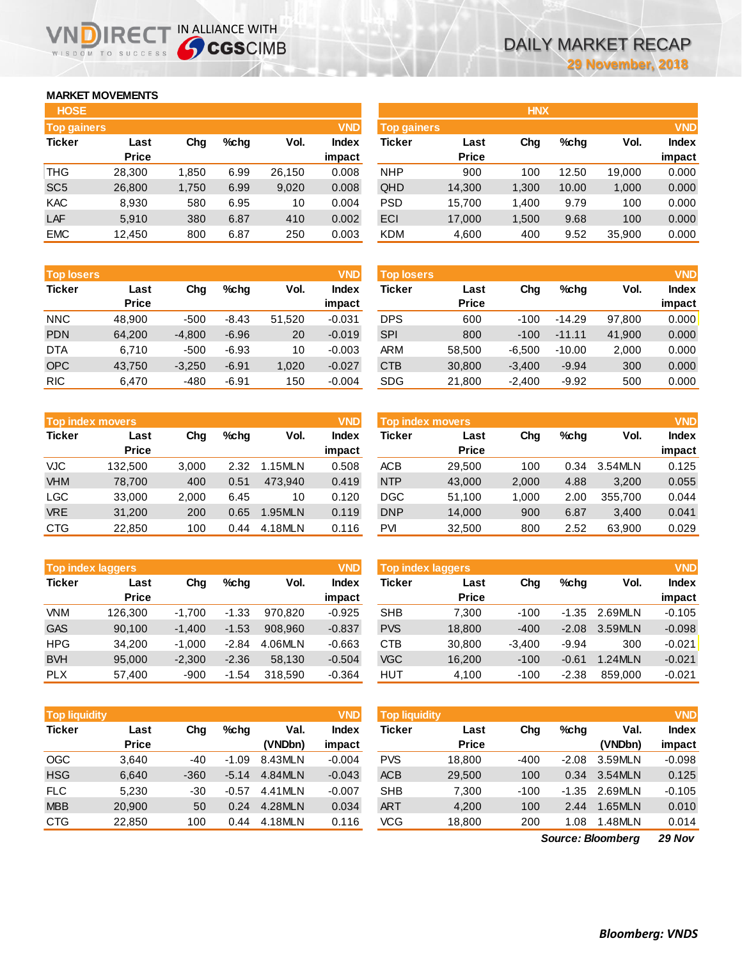## **MARKET MOVEMENTS**

WISDOM TO SUCCESS

הו

| <b>HOSE</b>        |              |       |      |        |              |
|--------------------|--------------|-------|------|--------|--------------|
| <b>Top gainers</b> |              |       |      |        | <b>VND</b>   |
| <b>Ticker</b>      | Last         | Chq   | %chq | Vol.   | <b>Index</b> |
|                    | <b>Price</b> |       |      |        | impact       |
| <b>THG</b>         | 28,300       | 1,850 | 6.99 | 26,150 | 0.008        |
| SC <sub>5</sub>    | 26,800       | 1,750 | 6.99 | 9,020  | 0.008        |
| <b>KAC</b>         | 8,930        | 580   | 6.95 | 10     | 0.004        |
| LAF                | 5,910        | 380   | 6.87 | 410    | 0.002        |
| <b>EMC</b>         | 12,450       | 800   | 6.87 | 250    | 0.003        |

IRECT IN ALLIANCE WITH

| <b>Top losers</b> |              |          |         |        | <b>VND</b> |
|-------------------|--------------|----------|---------|--------|------------|
| <b>Ticker</b>     | Last         | Cha      | %chq    | Vol.   | Index      |
|                   | <b>Price</b> |          |         |        | impact     |
| <b>NNC</b>        | 48,900       | $-500$   | $-8.43$ | 51,520 | $-0.031$   |
| <b>PDN</b>        | 64.200       | $-4,800$ | $-6.96$ | 20     | $-0.019$   |
| <b>DTA</b>        | 6,710        | $-500$   | $-6.93$ | 10     | $-0.003$   |
| <b>OPC</b>        | 43,750       | $-3,250$ | $-6.91$ | 1,020  | $-0.027$   |
| <b>RIC</b>        | 6,470        | -480     | $-6.91$ | 150    | $-0.004$   |

| <b>VND</b><br><b>Top index movers</b> |              |       |      |         |              |  |  |  |  |
|---------------------------------------|--------------|-------|------|---------|--------------|--|--|--|--|
| <b>Ticker</b>                         | Last         | Cha   | %chq | Vol.    | <b>Index</b> |  |  |  |  |
|                                       | <b>Price</b> |       |      |         | impact       |  |  |  |  |
| <b>VJC</b>                            | 132,500      | 3,000 | 2.32 | 1.15MLN | 0.508        |  |  |  |  |
| <b>VHM</b>                            | 78,700       | 400   | 0.51 | 473,940 | 0.419        |  |  |  |  |
| <b>LGC</b>                            | 33,000       | 2,000 | 6.45 | 10      | 0.120        |  |  |  |  |
| <b>VRE</b>                            | 31,200       | 200   | 0.65 | 1.95MLN | 0.119        |  |  |  |  |
| <b>CTG</b>                            | 22,850       | 100   | 0.44 | 4.18MLN | 0.116        |  |  |  |  |

| <b>Top index laggers</b> |              |          |         |         |              |  |  |  |  |
|--------------------------|--------------|----------|---------|---------|--------------|--|--|--|--|
| <b>Ticker</b>            | Last         | Cha      | %chq    | Vol.    | <b>Index</b> |  |  |  |  |
|                          | <b>Price</b> |          |         |         | impact       |  |  |  |  |
| <b>VNM</b>               | 126,300      | $-1,700$ | $-1.33$ | 970,820 | $-0.925$     |  |  |  |  |
| <b>GAS</b>               | 90,100       | $-1,400$ | $-1.53$ | 908.960 | $-0.837$     |  |  |  |  |
| <b>HPG</b>               | 34.200       | $-1,000$ | $-2.84$ | 4.06MLN | $-0.663$     |  |  |  |  |
| <b>BVH</b>               | 95,000       | $-2,300$ | $-2.36$ | 58,130  | $-0.504$     |  |  |  |  |
| <b>PLX</b>               | 57,400       | -900     | $-1.54$ | 318,590 | $-0.364$     |  |  |  |  |

| <b>Top liquidity</b> |              |        |         |         | <b>VND</b>   |
|----------------------|--------------|--------|---------|---------|--------------|
| <b>Ticker</b>        | Last         | Cha    | %chq    | Val.    | <b>Index</b> |
|                      | <b>Price</b> |        |         | (VNDbn) | impact       |
| <b>OGC</b>           | 3.640        | -40    | $-1.09$ | 8.43MLN | $-0.004$     |
| <b>HSG</b>           | 6,640        | $-360$ | $-5.14$ | 4.84MLN | $-0.043$     |
| <b>FLC</b>           | 5,230        | -30    | -0.57   | 4.41MLN | $-0.007$     |
| <b>MBB</b>           | 20,900       | 50     | 0.24    | 4.28MLN | 0.034        |
| <b>CTG</b>           | 22,850       | 100    | 0.44    | 4.18MLN | 0.116        |

| <b>HOSE</b>        |              |       |      |        |              |                    |              | <b>HNX</b> |            |        |              |
|--------------------|--------------|-------|------|--------|--------------|--------------------|--------------|------------|------------|--------|--------------|
| <b>Top gainers</b> |              |       |      |        | <b>VND</b>   | <b>Top gainers</b> |              |            | <b>VND</b> |        |              |
| Ticker             | Last         | Chg   | %chg | Vol.   | <b>Index</b> | Ticker             | Last         | Chg        | %chq       | Vol.   | <b>Index</b> |
|                    | <b>Price</b> |       |      |        | impact       |                    | <b>Price</b> |            |            |        | impact       |
| THG                | 28,300       | 1,850 | 6.99 | 26,150 | 0.008        | <b>NHP</b>         | 900          | 100        | 12.50      | 19,000 | 0.000        |
| SC <sub>5</sub>    | 26,800       | 1,750 | 6.99 | 9,020  | 0.008        | QHD                | 14,300       | 1,300      | 10.00      | 1,000  | 0.000        |
| KAC                | 8,930        | 580   | 6.95 | 10     | 0.004        | <b>PSD</b>         | 15.700       | 1,400      | 9.79       | 100    | 0.000        |
| <b>LAF</b>         | 5,910        | 380   | 6.87 | 410    | 0.002        | ECI                | 17,000       | 1,500      | 9.68       | 100    | 0.000        |
| <b>EMC</b>         | 12,450       | 800   | 6.87 | 250    | 0.003        | <b>KDM</b>         | 4,600        | 400        | 9.52       | 35,900 | 0.000        |
|                    |              |       |      |        |              |                    |              |            |            |        |              |

| <b>Top losers</b> |                      |          |         |        | <b>VND</b>             | Top losers |                      |          |          |        |                        |  |
|-------------------|----------------------|----------|---------|--------|------------------------|------------|----------------------|----------|----------|--------|------------------------|--|
| <b>Ticker</b>     | Last<br><b>Price</b> | Chg      | %chq    | Vol.   | <b>Index</b><br>impact | Ticker     | Last<br><b>Price</b> | Chg      | %chq     | Vol.   | <b>Index</b><br>impact |  |
| <b>NNC</b>        | 48.900               | $-500$   | $-8.43$ | 51,520 | $-0.031$               | <b>DPS</b> | 600                  | $-100$   | $-14.29$ | 97,800 | 0.000                  |  |
| <b>PDN</b>        | 64.200               | $-4,800$ | $-6.96$ | 20     | $-0.019$               | <b>SPI</b> | 800                  | $-100$   | $-11.11$ | 41,900 | 0.000                  |  |
| <b>DTA</b>        | 6.710                | $-500$   | $-6.93$ | 10     | $-0.003$               | <b>ARM</b> | 58,500               | $-6.500$ | $-10.00$ | 2,000  | 0.000                  |  |
| <b>OPC</b>        | 43,750               | $-3,250$ | $-6.91$ | 1,020  | $-0.027$               | <b>CTB</b> | 30,800               | $-3,400$ | $-9.94$  | 300    | 0.000                  |  |
| <b>RIC</b>        | 6,470                | $-480$   | $-6.91$ | 150    | $-0.004$               | <b>SDG</b> | 21,800               | $-2,400$ | $-9.92$  | 500    | 0.000                  |  |

|            | <b>Top index movers</b> |       |      |               | <b>VND</b>      | <b>Top index movers</b> |                      |       |      |         |                        |
|------------|-------------------------|-------|------|---------------|-----------------|-------------------------|----------------------|-------|------|---------|------------------------|
| Ticker     | Last<br><b>Price</b>    | Chg   | %chq | Vol.          | Index<br>impact | Ticker                  | Last<br><b>Price</b> | Chg   | %chq | Vol.    | <b>Index</b><br>impact |
| VJC.       | 132.500                 | 3.000 | 2.32 | 1.15MLN       | 0.508           | <b>ACB</b>              | 29,500               | 100   | 0.34 | 3.54MLN | 0.125                  |
| <b>VHM</b> | 78,700                  | 400   | 0.51 | 473.940       | 0.419           | <b>NTP</b>              | 43,000               | 2,000 | 4.88 | 3,200   | 0.055                  |
| LGC        | 33,000                  | 2,000 | 6.45 | 10            | 0.120           | DGC                     | 51,100               | 1.000 | 2.00 | 355.700 | 0.044                  |
| <b>VRE</b> | 31,200                  | 200   | 0.65 | <b>.95MLN</b> | 0.119           | <b>DNP</b>              | 14,000               | 900   | 6.87 | 3.400   | 0.041                  |
| CTG        | 22,850                  | 100   | 0.44 | 4.18MLN       | 0.116           | PVI                     | 32,500               | 800   | 2.52 | 63,900  | 0.029                  |

| <b>Top index laggers</b> |                      |          |         |         | <b>VND</b>      | Top index laggers |                      |          |         |                |                        |
|--------------------------|----------------------|----------|---------|---------|-----------------|-------------------|----------------------|----------|---------|----------------|------------------------|
| Ticker                   | Last<br><b>Price</b> | Chg      | %chq    | Vol.    | Index<br>impact | Ticker            | Last<br><b>Price</b> | Chg      | %chq    | Vol.           | <b>Index</b><br>impact |
| <b>VNM</b>               | 126.300              | $-1.700$ | $-1.33$ | 970.820 | $-0.925$        | <b>SHB</b>        | 7.300                | $-100$   | $-1.35$ | 2.69MLN        | $-0.105$               |
| <b>GAS</b>               | 90.100               | $-1.400$ | $-1.53$ | 908.960 | $-0.837$        | <b>PVS</b>        | 18,800               | $-400$   | $-2.08$ | 3.59MLN        | $-0.098$               |
| HPG                      | 34.200               | $-1.000$ | $-2.84$ | 4.06MLN | $-0.663$        | <b>CTB</b>        | 30,800               | $-3.400$ | $-9.94$ | 300            | $-0.021$               |
| <b>BVH</b>               | 95,000               | $-2.300$ | $-2.36$ | 58.130  | $-0.504$        | <b>VGC</b>        | 16.200               | $-100$   | $-0.61$ | <b>1.24MLN</b> | $-0.021$               |
| <b>PLX</b>               | 57,400               | $-900$   | $-1.54$ | 318.590 | $-0.364$        | HUT               | 4,100                | $-100$   | $-2.38$ | 859,000        | $-0.021$               |

| <b>Top liquidity</b> |                      |        |         |                 | <b>VND</b>             | <b>Top liquidity</b> |                      |        |         |                 |                        |
|----------------------|----------------------|--------|---------|-----------------|------------------------|----------------------|----------------------|--------|---------|-----------------|------------------------|
| Ticker               | Last<br><b>Price</b> | Cha    | $%$ chq | Val.<br>(VNDbn) | <b>Index</b><br>impact | Ticker               | Last<br><b>Price</b> | Chg    | %chq    | Val.<br>(VNDbn) | <b>Index</b><br>impact |
| OGC                  | 3,640                | -40    | $-1.09$ | 8.43MLN         | $-0.004$               | <b>PVS</b>           | 18.800               | $-400$ | $-2.08$ | 3.59MLN         | $-0.098$               |
| <b>HSG</b>           | 6,640                | $-360$ | $-5.14$ | 4.84MLN         | $-0.043$               | <b>ACB</b>           | 29,500               | 100    | 0.34    | 3.54MLN         | 0.125                  |
| <b>FLC</b>           | 5,230                | -30    | $-0.57$ | 4.41MLN         | $-0.007$               | <b>SHB</b>           | 7.300                | $-100$ | $-1.35$ | 2.69MLN         | $-0.105$               |
| <b>MBB</b>           | 20.900               | 50     | 0.24    | 4.28MLN         | 0.034                  | <b>ART</b>           | 4,200                | 100    | 2.44    | 1.65MLN         | 0.010                  |
| CTG                  | 22,850               | 100    | 0.44    | 4.18MLN         | 0.116                  | VCG                  | 18,800               | 200    | .08     | 1.48MLN         | 0.014                  |
|                      |                      |        |         |                 |                        |                      |                      |        |         |                 |                        |

*29 Nov Source: Bloomberg*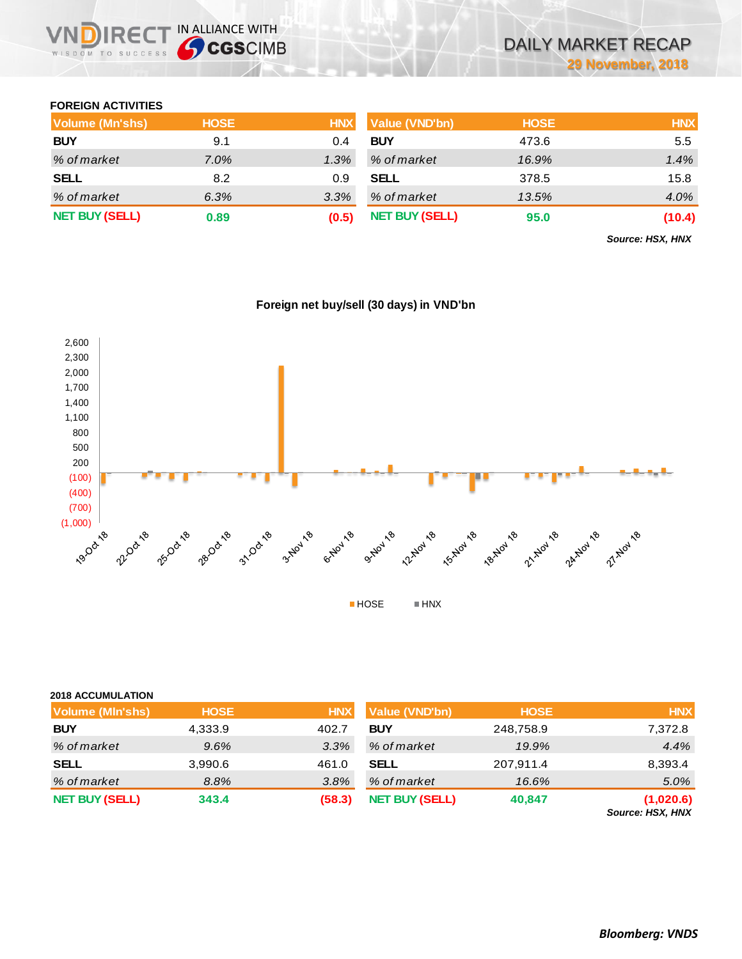## **FOREIGN ACTIVITIES**

WISDOM TO SUCCESS

**IRECT IN ALLIANCE WITH** 

| Volume (Mn'shs)       | <b>HOSE</b> | <b>HNX</b> | <b>Value (VND'bn)</b> | <b>HOSE</b> | <b>HNX</b> |
|-----------------------|-------------|------------|-----------------------|-------------|------------|
| <b>BUY</b>            | 9.1         | 0.4        | <b>BUY</b>            | 473.6       | 5.5        |
| % of market           | 7.0%        | 1.3%       | % of market           | 16.9%       | 1.4%       |
| <b>SELL</b>           | 8.2         | 0.9        | <b>SELL</b>           | 378.5       | 15.8       |
| % of market           | 6.3%        | 3.3%       | % of market           | 13.5%       | 4.0%       |
| <b>NET BUY (SELL)</b> | 0.89        | (0.5)      | <b>NET BUY (SELL)</b> | 95.0        | (10.4)     |

*Source: HSX, HNX*



## **Foreign net buy/sell (30 days) in VND'bn**

### **2018 ACCUMULATION**

| <b>Volume (MIn'shs)</b> | <b>HOSE</b> | <b>HNX</b> | <b>Value (VND'bn)</b> | <b>HOSE</b> | <b>HNX</b>                    |
|-------------------------|-------------|------------|-----------------------|-------------|-------------------------------|
| <b>BUY</b>              | 4,333.9     | 402.7      | <b>BUY</b>            | 248,758.9   | 7,372.8                       |
| % of market             | 9.6%        | 3.3%       | % of market           | 19.9%       | 4.4%                          |
| <b>SELL</b>             | 3,990.6     | 461.0      | <b>SELL</b>           | 207,911.4   | 8,393.4                       |
| % of market             | 8.8%        | 3.8%       | % of market           | 16.6%       | 5.0%                          |
| <b>NET BUY (SELL)</b>   | 343.4       | (58.3)     | <b>NET BUY (SELL)</b> | 40,847      | (1,020.6)<br>Source: HSX, HNX |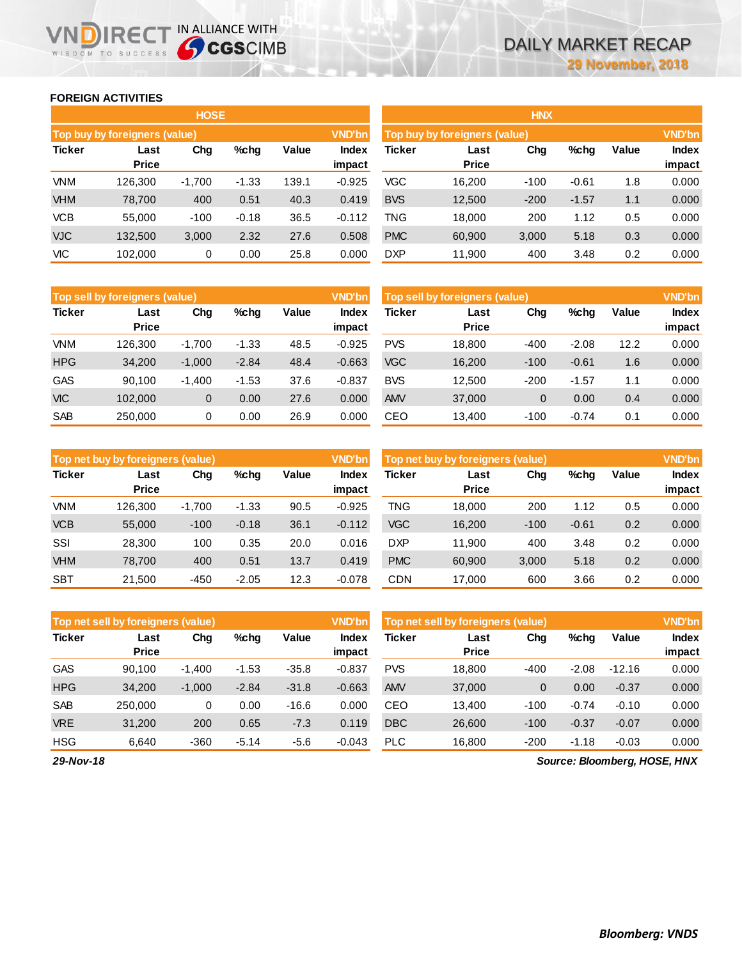**Index impact**

## **FOREIGN ACTIVITIES**

WISDOM TO SUCCESS

ND)

|               |                               | <b>HOSE</b> |         |       |                        | <b>HNX</b>                    |                      |               |         |       |                 |
|---------------|-------------------------------|-------------|---------|-------|------------------------|-------------------------------|----------------------|---------------|---------|-------|-----------------|
|               | Top buy by foreigners (value) |             |         |       | <b>VND'bn</b>          | Top buy by foreigners (value) |                      | <b>VND'bn</b> |         |       |                 |
| <b>Ticker</b> | Last<br><b>Price</b>          | Chg         | %chg    | Value | <b>Index</b><br>impact | Ticker                        | Last<br><b>Price</b> | Cha           | $%$ chg | Value | Index<br>impact |
| <b>VNM</b>    | 126.300                       | $-1,700$    | $-1.33$ | 139.1 | $-0.925$               | VGC                           | 16.200               | $-100$        | $-0.61$ | 1.8   | 0.000           |
| <b>VHM</b>    | 78,700                        | 400         | 0.51    | 40.3  | 0.419                  | <b>BVS</b>                    | 12,500               | $-200$        | $-1.57$ | 1.1   | 0.000           |
| <b>VCB</b>    | 55,000                        | $-100$      | $-0.18$ | 36.5  | $-0.112$               | TNG                           | 18,000               | 200           | 1.12    | 0.5   | 0.000           |
| <b>VJC</b>    | 132,500                       | 3,000       | 2.32    | 27.6  | 0.508                  | <b>PMC</b>                    | 60,900               | 3,000         | 5.18    | 0.3   | 0.000           |
| <b>VIC</b>    | 102,000                       | 0           | 0.00    | 25.8  | 0.000                  | <b>DXP</b>                    | 11,900               | 400           | 3.48    | 0.2   | 0.000           |

**IRECT IN ALLIANCE WITH** 

| <b>HNX</b>    |                               |        |         |       |                        |  |  |  |  |  |  |  |
|---------------|-------------------------------|--------|---------|-------|------------------------|--|--|--|--|--|--|--|
|               | Top buy by foreigners (value) |        |         |       | <b>VND'bn</b>          |  |  |  |  |  |  |  |
| <b>Ticker</b> | Last<br><b>Price</b>          | Cha    | %chq    | Value | <b>Index</b><br>impact |  |  |  |  |  |  |  |
| VGC           | 16,200                        | -100   | $-0.61$ | 1.8   | 0.000                  |  |  |  |  |  |  |  |
| <b>BVS</b>    | 12,500                        | $-200$ | $-1.57$ | 1.1   | 0.000                  |  |  |  |  |  |  |  |
| TNG           | 18,000                        | 200    | 1.12    | 0.5   | 0.000                  |  |  |  |  |  |  |  |
| <b>PMC</b>    | 60,900                        | 3,000  | 5.18    | 0.3   | 0.000                  |  |  |  |  |  |  |  |
| DXP           | 11,900                        | 400    | 3.48    | 0.2   | 0.000                  |  |  |  |  |  |  |  |

|            | Top sell by foreigners (value) |              |         |       | <b>VND'bn</b>   | Top sell by foreigners (value) |                      | <b>VND'bn</b> |         |       |                 |
|------------|--------------------------------|--------------|---------|-------|-----------------|--------------------------------|----------------------|---------------|---------|-------|-----------------|
| Ticker     | Last<br><b>Price</b>           | Chg          | %chg    | Value | Index<br>impact | <b>Ticker</b>                  | Last<br><b>Price</b> | Chg           | %chg    | Value | Index<br>impact |
| VNM        | 126.300                        | $-1.700$     | $-1.33$ | 48.5  | $-0.925$        | <b>PVS</b>                     | 18.800               | $-400$        | $-2.08$ | 12.2  | 0.000           |
| <b>HPG</b> | 34.200                         | $-1,000$     | $-2.84$ | 48.4  | $-0.663$        | <b>VGC</b>                     | 16,200               | $-100$        | $-0.61$ | 1.6   | 0.000           |
| <b>GAS</b> | 90.100                         | $-1.400$     | $-1.53$ | 37.6  | $-0.837$        | <b>BVS</b>                     | 12.500               | $-200$        | $-1.57$ | 1.1   | 0.000           |
| <b>VIC</b> | 102,000                        | $\mathbf{0}$ | 0.00    | 27.6  | 0.000           | <b>AMV</b>                     | 37,000               | 0             | 0.00    | 0.4   | 0.000           |
| <b>SAB</b> | 250,000                        | 0            | 0.00    | 26.9  | 0.000           | CEO                            | 13,400               | $-100$        | $-0.74$ | 0.1   | 0.000           |

|               | Top net buy by foreigners (value) |          |         |       | <b>VND'bn</b>   | Top net buy by foreigners (value) |                      |        |         |       | <b>VND'bn</b>          |
|---------------|-----------------------------------|----------|---------|-------|-----------------|-----------------------------------|----------------------|--------|---------|-------|------------------------|
| <b>Ticker</b> | Last<br><b>Price</b>              | Chg      | $%$ chq | Value | Index<br>impact | Ticker                            | Last<br><b>Price</b> | Chg    | %chg    | Value | <b>Index</b><br>impact |
| <b>VNM</b>    | 126.300                           | $-1,700$ | $-1.33$ | 90.5  | $-0.925$        | <b>TNG</b>                        | 18.000               | 200    | 1.12    | 0.5   | 0.000                  |
| <b>VCB</b>    | 55,000                            | $-100$   | $-0.18$ | 36.1  | $-0.112$        | <b>VGC</b>                        | 16,200               | $-100$ | $-0.61$ | 0.2   | 0.000                  |
| SSI           | 28,300                            | 100      | 0.35    | 20.0  | 0.016           | <b>DXP</b>                        | 11.900               | 400    | 3.48    | 0.2   | 0.000                  |
| <b>VHM</b>    | 78.700                            | 400      | 0.51    | 13.7  | 0.419           | <b>PMC</b>                        | 60,900               | 3,000  | 5.18    | 0.2   | 0.000                  |
| <b>SBT</b>    | 21,500                            | $-450$   | $-2.05$ | 12.3  | $-0.078$        | <b>CDN</b>                        | 17.000               | 600    | 3.66    | 0.2   | 0.000                  |

|               | Top net sell by foreigners (value) |          |         |         | <b>VND'bn</b>   | Top net sell by foreigners (value)<br><b>VND'bn</b> |                      |        |         |          |                        |
|---------------|------------------------------------|----------|---------|---------|-----------------|-----------------------------------------------------|----------------------|--------|---------|----------|------------------------|
| <b>Ticker</b> | Last<br><b>Price</b>               | Chg      | $%$ chq | Value   | Index<br>impact | <b>Ticker</b>                                       | Last<br><b>Price</b> | Chg    | %chg    | Value    | <b>Index</b><br>impact |
| <b>GAS</b>    | 90.100                             | $-1.400$ | $-1.53$ | $-35.8$ | $-0.837$        | <b>PVS</b>                                          | 18.800               | $-400$ | $-2.08$ | $-12.16$ | 0.000                  |
| <b>HPG</b>    | 34,200                             | $-1,000$ | $-2.84$ | $-31.8$ | $-0.663$        | <b>AMV</b>                                          | 37,000               | 0      | 0.00    | $-0.37$  | 0.000                  |
| <b>SAB</b>    | 250,000                            | 0        | 0.00    | $-16.6$ | 0.000           | CEO                                                 | 13.400               | $-100$ | $-0.74$ | $-0.10$  | 0.000                  |
| <b>VRE</b>    | 31,200                             | 200      | 0.65    | $-7.3$  | 0.119           | <b>DBC</b>                                          | 26,600               | $-100$ | $-0.37$ | $-0.07$  | 0.000                  |
| <b>HSG</b>    | 6,640                              | $-360$   | $-5.14$ | $-5.6$  | $-0.043$        | <b>PLC</b>                                          | 16,800               | $-200$ | $-1.18$ | $-0.03$  | 0.000                  |

*Source: Bloomberg, HOSE, HNX*

*29-Nov-18*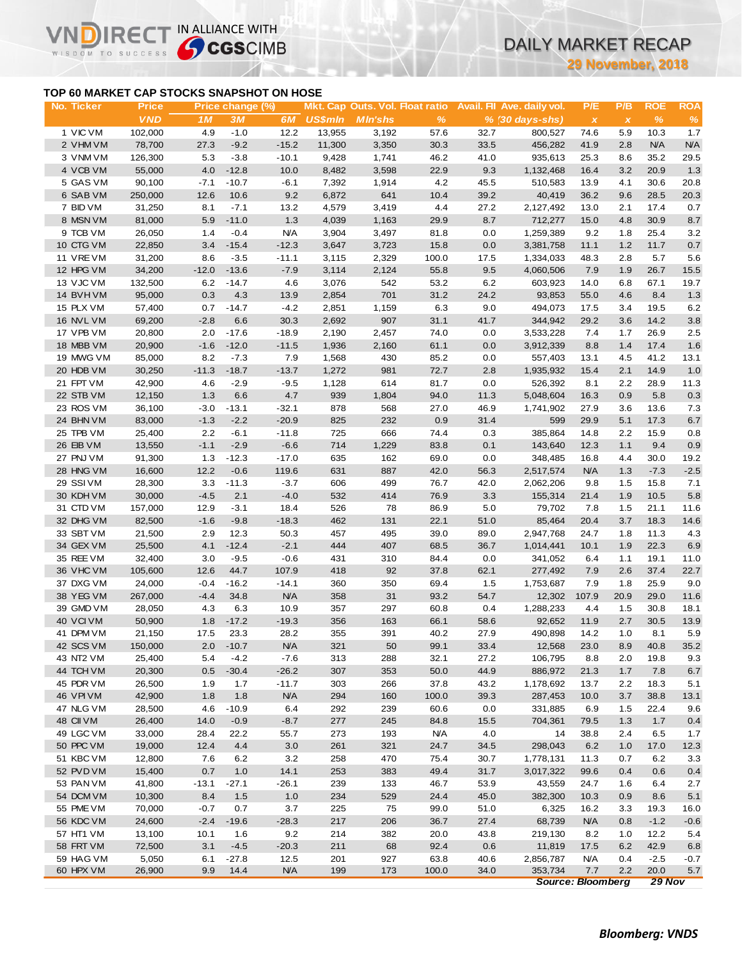# **TOP 60 MARKET CAP STOCKS SNAPSHOT ON HOSE**

NDIRECT IN ALLIANCE WITH

VI

**29 November, 2018**

|                        |                            |                                           |                        |                   |                |                                                   |               |              | <b>29 November, 2018</b>                      |                                  |                     |                    |                    |
|------------------------|----------------------------|-------------------------------------------|------------------------|-------------------|----------------|---------------------------------------------------|---------------|--------------|-----------------------------------------------|----------------------------------|---------------------|--------------------|--------------------|
|                        |                            | TOP 60 MARKET CAP STOCKS SNAPSHOT ON HOSE |                        |                   |                |                                                   |               |              |                                               |                                  |                     |                    |                    |
| No. Ticker             | <b>Price</b><br><b>VND</b> | 1M                                        | Price change (%)<br>3M | 6M                | <b>US\$mln</b> | Mkt. Cap Outs. Vol. Float ratio<br><b>MIn'shs</b> | $\%$          |              | Avail. Fil Ave. daily vol.<br>% (30 days-shs) | P/E<br>$\boldsymbol{\mathsf{x}}$ | P/B<br>$\pmb{\chi}$ | <b>ROE</b><br>$\%$ | <b>ROA</b><br>$\%$ |
| 1 VIC VM               | 102,000                    | 4.9                                       | $-1.0$                 | 12.2              | 13,955         | 3,192                                             | 57.6          | 32.7         | 800,527                                       | 74.6                             | 5.9                 | 10.3               | 1.7                |
| 2 VHM VM               | 78,700                     | 27.3                                      | $-9.2$                 | $-15.2$           | 11,300         | 3,350                                             | 30.3          | 33.5         | 456,282                                       | 41.9                             | 2.8                 | <b>N/A</b>         | <b>N/A</b>         |
| 3 VNM VM               | 126,300                    | 5.3                                       | $-3.8$                 | $-10.1$           | 9,428          | 1,741                                             | 46.2          | 41.0         | 935,613                                       | 25.3                             | 8.6                 | 35.2               | 29.5               |
| 4 VCB VM               | 55,000                     | 4.0                                       | $-12.8$                | 10.0              | 8,482          | 3,598                                             | 22.9          | 9.3          | 1,132,468                                     | 16.4                             | 3.2                 | 20.9               | 1.3                |
| 5 GAS VM               | 90,100                     | $-7.1$                                    | $-10.7$                | $-6.1$            | 7,392          | 1,914                                             | 4.2           | 45.5         | 510,583                                       | 13.9                             | 4.1                 | 30.6               | 20.8               |
| 6 SAB VM               | 250,000                    | 12.6                                      | 10.6                   | 9.2               | 6,872          | 641                                               | 10.4          | 39.2         | 40,419                                        | 36.2                             | 9.6                 | 28.5               | 20.3               |
| 7 BID VM               | 31,250                     | 8.1                                       | $-7.1$                 | 13.2              | 4,579          | 3,419                                             | 4.4           | 27.2         | 2,127,492                                     | 13.0                             | 2.1                 | 17.4               | 0.7                |
| 8 MSN VM               | 81,000                     | 5.9                                       | $-11.0$                | 1.3               | 4,039          | 1,163                                             | 29.9          | 8.7          | 712,277                                       | 15.0                             | 4.8                 | 30.9               | 8.7                |
| 9 TCB VM               | 26,050                     | 1.4                                       | $-0.4$                 | <b>N/A</b>        | 3,904          | 3,497                                             | 81.8          | 0.0          | 1,259,389                                     | 9.2                              | 1.8                 | 25.4               | 3.2                |
| 10 CTG VM              | 22,850                     | 3.4                                       | $-15.4$                | $-12.3$           | 3,647          | 3,723                                             | 15.8          | 0.0          | 3,381,758                                     | 11.1                             | 1.2                 | 11.7               | 0.7                |
| 11 VREVM<br>12 HPG VM  | 31,200<br>34,200           | 8.6<br>$-12.0$                            | $-3.5$<br>$-13.6$      | $-11.1$<br>$-7.9$ | 3,115<br>3,114 | 2,329<br>2,124                                    | 100.0<br>55.8 | 17.5<br>9.5  | 1,334,033<br>4,060,506                        | 48.3<br>7.9                      | 2.8<br>1.9          | 5.7<br>26.7        | 5.6<br>15.5        |
| 13 VJC VM              | 132,500                    | 6.2                                       | $-14.7$                | 4.6               | 3,076          | 542                                               | 53.2          | 6.2          | 603,923                                       | 14.0                             | 6.8                 | 67.1               | 19.7               |
| 14 BVHVM               | 95,000                     | 0.3                                       | 4.3                    | 13.9              | 2,854          | 701                                               | 31.2          | 24.2         | 93,853                                        | 55.0                             | 4.6                 | 8.4                | 1.3                |
| 15 PLX VM              | 57,400                     | 0.7                                       | $-14.7$                | $-4.2$            | 2,851          | 1,159                                             | 6.3           | 9.0          | 494,073                                       | 17.5                             | 3.4                 | 19.5               | 6.2                |
| 16 NVL VM              | 69,200                     | $-2.8$                                    | 6.6                    | 30.3              | 2,692          | 907                                               | 31.1          | 41.7         | 344,942                                       | 29.2                             | 3.6                 | 14.2               | 3.8                |
| 17 VPB VM              | 20,800                     | 2.0                                       | $-17.6$                | $-18.9$           | 2,190          | 2,457                                             | 74.0          | 0.0          | 3,533,228                                     | 7.4                              | 1.7                 | 26.9               | 2.5                |
| 18 MBB VM              | 20,900                     | $-1.6$                                    | $-12.0$                | $-11.5$           | 1,936          | 2,160                                             | 61.1          | 0.0          | 3,912,339                                     | 8.8                              | 1.4                 | 17.4               | 1.6                |
| 19 MWG VM              | 85,000                     | 8.2                                       | $-7.3$                 | 7.9               | 1,568          | 430                                               | 85.2          | 0.0          | 557,403                                       | 13.1                             | 4.5                 | 41.2               | 13.1               |
| 20 HDB VM              | 30,250                     | $-11.3$                                   | $-18.7$                | $-13.7$           | 1,272          | 981                                               | 72.7          | 2.8          | 1,935,932                                     | 15.4                             | 2.1                 | 14.9               | 1.0                |
| 21 FPT VM              | 42,900                     | 4.6                                       | $-2.9$                 | $-9.5$            | 1,128          | 614                                               | 81.7          | 0.0          | 526,392                                       | 8.1                              | 2.2                 | 28.9               | 11.3               |
| 22 STB VM              | 12,150                     | 1.3                                       | 6.6                    | 4.7               | 939            | 1,804                                             | 94.0          | 11.3         | 5,048,604                                     | 16.3                             | 0.9                 | 5.8                | 0.3                |
| 23 ROS VM              | 36,100                     | $-3.0$                                    | $-13.1$                | $-32.1$           | 878            | 568                                               | 27.0          | 46.9         | 1,741,902                                     | 27.9                             | 3.6                 | 13.6               | 7.3                |
| 24 BHN VM              | 83,000                     | $-1.3$                                    | $-2.2$                 | $-20.9$           | 825            | 232                                               | 0.9           | 31.4         | 599                                           | 29.9                             | 5.1                 | 17.3               | 6.7                |
| 25 TPB VM              | 25,400                     | 2.2                                       | $-6.1$                 | $-11.8$           | 725            | 666                                               | 74.4          | 0.3          | 385,864                                       | 14.8                             | 2.2                 | 15.9               | 0.8                |
| 26 EIB VM              | 13,550                     | $-1.1$                                    | $-2.9$                 | $-6.6$            | 714            | 1,229                                             | 83.8          | 0.1          | 143,640                                       | 12.3                             | 1.1                 | 9.4                | 0.9                |
| 27 PNJ VM              | 91,300                     | 1.3                                       | $-12.3$                | $-17.0$           | 635            | 162                                               | 69.0          | 0.0          | 348,485                                       | 16.8                             | 4.4                 | 30.0               | 19.2               |
| 28 HNG VM              | 16,600                     | 12.2                                      | $-0.6$                 | 119.6             | 631            | 887                                               | 42.0          | 56.3         | 2,517,574                                     | <b>N/A</b>                       | 1.3                 | $-7.3$             | $-2.5$             |
| 29 SSIVM               | 28,300                     | 3.3                                       | $-11.3$                | $-3.7$            | 606            | 499                                               | 76.7          | 42.0         | 2,062,206                                     | 9.8                              | 1.5                 | 15.8               | 7.1                |
| 30 KDH VM              | 30,000                     | $-4.5$                                    | 2.1                    | $-4.0$            | 532            | 414                                               | 76.9          | 3.3          | 155,314                                       | 21.4                             | 1.9                 | 10.5               | 5.8                |
| 31 CTD VM              | 157,000                    | 12.9                                      | $-3.1$                 | 18.4              | 526            | 78                                                | 86.9          | 5.0          | 79,702                                        | 7.8                              | 1.5                 | 21.1               | 11.6               |
| 32 DHG VM<br>33 SBT VM | 82,500<br>21,500           | $-1.6$<br>2.9                             | $-9.8$<br>12.3         | $-18.3$<br>50.3   | 462<br>457     | 131<br>495                                        | 22.1<br>39.0  | 51.0<br>89.0 | 85,464<br>2,947,768                           | 20.4<br>24.7                     | 3.7<br>1.8          | 18.3<br>11.3       | 14.6<br>4.3        |
| 34 GEX VM              | 25,500                     | 4.1                                       | $-12.4$                | $-2.1$            | 444            | 407                                               | 68.5          | 36.7         | 1,014,441                                     | 10.1                             | 1.9                 | 22.3               | 6.9                |
| 35 REE VM              | 32,400                     | 3.0                                       | $-9.5$                 | $-0.6$            | 431            | 310                                               | 84.4          | 0.0          | 341,052                                       | 6.4                              | 1.1                 | 19.1               | 11.0               |
| 36 VHC VM              | 105,600                    | 12.6                                      | 44.7                   | 107.9             | 418            | 92                                                | 37.8          | 62.1         | 277,492                                       | 7.9                              | 2.6                 | 37.4               | 22.7               |
| 37 DXG VM              | 24,000                     | $-0.4$                                    | $-16.2$                | $-14.1$           | 360            | 350                                               | 69.4          | 1.5          | 1,753,687                                     | 7.9                              | 1.8                 | 25.9               | 9.0                |
| 38 YEG VM              | 267,000                    | $-4.4$                                    | 34.8                   | <b>N/A</b>        | 358            | 31                                                | 93.2          | 54.7         | 12,302                                        | 107.9                            | 20.9                | 29.0               | 11.6               |
| 39 GMD VM              | 28,050                     | 4.3                                       | 6.3                    | 10.9              | 357            | 297                                               | 60.8          | 0.4          | 1,288,233                                     | 4.4                              | 1.5                 | 30.8               | 18.1               |
| 40 VCIVM               | 50,900                     | 1.8                                       | $-17.2$                | $-19.3$           | 356            | 163                                               | 66.1          | 58.6         | 92,652                                        | 11.9                             | 2.7                 | 30.5               | 13.9               |
| 41 DPM VM              | 21,150                     | 17.5                                      | 23.3                   | 28.2              | 355            | 391                                               | 40.2          | 27.9         | 490,898                                       | 14.2                             | 1.0                 | 8.1                | 5.9                |
| 42 SCS VM              | 150,000                    | 2.0                                       | $-10.7$                | <b>N/A</b>        | 321            | 50                                                | 99.1          | 33.4         | 12,568                                        | 23.0                             | 8.9                 | 40.8               | 35.2               |
| 43 NT2 VM              | 25,400                     | 5.4                                       | $-4.2$                 | $-7.6$            | 313            | 288                                               | 32.1          | 27.2         | 106,795                                       | 8.8                              | 2.0                 | 19.8               | 9.3                |
| 44 TCH VM              | 20,300                     | 0.5                                       | $-30.4$                | $-26.2$           | 307            | 353                                               | 50.0          | 44.9         | 886,972                                       | 21.3                             | 1.7                 | 7.8                | 6.7                |
| 45 PDR VM              | 26,500                     | 1.9                                       | 1.7                    | $-11.7$           | 303            | 266                                               | 37.8          | 43.2         | 1,178,692                                     | 13.7                             | 2.2                 | 18.3               | 5.1                |
| <b>46 VPIVM</b>        | 42,900                     | 1.8                                       | 1.8                    | <b>N/A</b>        | 294            | 160                                               | 100.0         | 39.3         | 287,453                                       | 10.0                             | 3.7                 | 38.8               | 13.1               |
| 47 NLG VM              | 28,500                     | 4.6                                       | $-10.9$                | 6.4               | 292            | 239                                               | 60.6          | 0.0          | 331,885                                       | 6.9                              | $1.5$               | 22.4               | 9.6                |
| 48 CII VM              | 26,400                     | 14.0                                      | $-0.9$                 | $-8.7$            | 277            | 245                                               | 84.8          | 15.5         | 704,361                                       | 79.5                             | 1.3                 | 1.7                | 0.4                |
| 49 LGC VM              | 33,000                     | 28.4                                      | 22.2                   | 55.7              | 273            | 193                                               | <b>N/A</b>    | 4.0          | 14                                            | 38.8                             | 2.4                 | 6.5                | 1.7                |
| 50 PPC VM              | 19,000                     | 12.4                                      | 4.4                    | 3.0               | 261            | 321                                               | 24.7          | 34.5         | 298,043                                       | 6.2                              | 1.0                 | 17.0               | 12.3               |
| 51 KBC VM              | 12,800                     | 7.6                                       | 6.2                    | 3.2               | 258            | 470                                               | 75.4          | 30.7         | 1,778,131                                     | 11.3                             | 0.7                 | 6.2                | 3.3                |
| 52 PVD VM              | 15,400                     | 0.7                                       | $1.0$                  | 14.1              | 253            | 383                                               | 49.4          | 31.7         | 3,017,322                                     | 99.6                             | 0.4                 | 0.6                | 0.4                |
| 53 PAN VM<br>54 DCM VM | 41,800<br>10,300           | $-13.1$<br>8.4                            | $-27.1$<br>1.5         | $-26.1$<br>1.0    | 239<br>234     | 133<br>529                                        | 46.7<br>24.4  | 53.9<br>45.0 | 43,559                                        | 24.7                             | 1.6                 | 6.4<br>8.6         | 2.7<br>5.1         |
| 55 PME VM              |                            | $-0.7$                                    | 0.7                    | 3.7               |                | 75                                                | 99.0          | 51.0         | 382,300<br>6,325                              | 10.3                             | 0.9                 | 19.3               |                    |
| 56 KDC VM              | 70,000<br>24,600           | $-2.4$                                    | $-19.6$                | $-28.3$           | 225<br>217     | 206                                               | 36.7          | 27.4         | 68,739                                        | 16.2<br><b>N/A</b>               | 3.3<br>0.8          | $-1.2$             | 16.0               |
| 57 HT1 VM              | 13,100                     | 10.1                                      | 1.6                    | 9.2               | 214            | 382                                               | 20.0          | 43.8         | 219,130                                       | 8.2                              | 1.0                 | 12.2               | $-0.6$<br>5.4      |
| 58 FRT VM              | 72,500                     | 3.1                                       | $-4.5$                 | $-20.3$           | 211            | 68                                                | 92.4          | 0.6          | 11,819                                        | 17.5                             | 6.2                 | 42.9               | 6.8                |
| 59 HAG VM              | 5,050                      | 6.1                                       | $-27.8$                | 12.5              | 201            | 927                                               | 63.8          | 40.6         | 2,856,787                                     | <b>N/A</b>                       | 0.4                 | $-2.5$             | $-0.7$             |
| 60 HPX VM              | 26,900                     | 9.9                                       | 14.4                   | <b>N/A</b>        | 199            | 173                                               | 100.0         | 34.0         | 353,734                                       | 7.7                              | 2.2                 | 20.0               | $5.7\,$            |
|                        |                            |                                           |                        |                   |                |                                                   |               |              | <b>Source: Bloomberg</b>                      |                                  |                     | <b>29 Nov</b>      |                    |